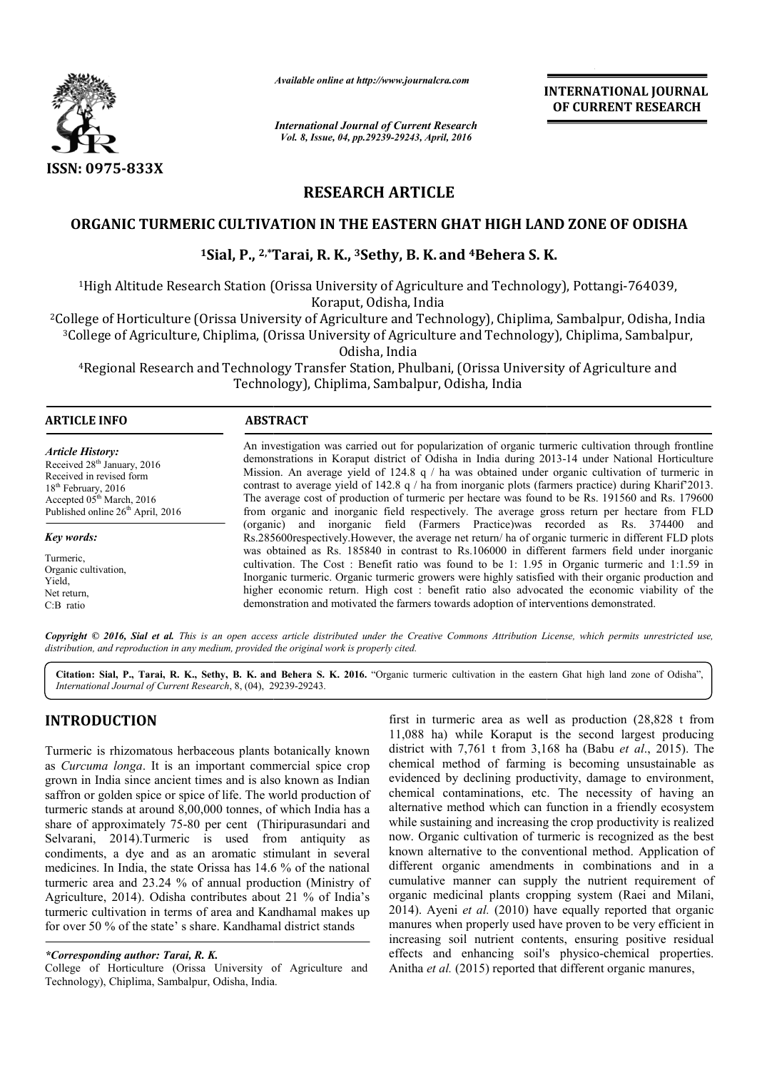

*Available online at http://www.journalcra.com*

*International Journal of Current Research Vol. 8, Issue, 04, pp.29239-29243, April, 2016*

**INTERNATIONAL JOURNAL OF CURRENT RESEARCH** 

# **RESEARCH ARTICLE**

# ORGANIC TURMERIC CULTIVATION IN THE EASTERN GHAT HIGH LAND ZONE OF ODISHA<br><sup>1</sup>Sial, P., <sup>2,\*</sup>Tarai, R. K., <sup>3</sup>Sethy, B. K. and <sup>4</sup>Behera S. K.

## **1Sial, P., 2,\*Tarai, R. K., Tarai, 3Sethy, B. K. and 4Behera S. K.**

<sup>1</sup>High Altitude Research Station (Orissa University of Agriculture and Technology), Pottangi-764039,<br>Koraput, Odisha, India

2College of Horticulture (Orissa University of Agriculture and Technology), Chiplima, Sambalpur, Odisha, India 3College of Agriculture, Chiplima, (Orissa University of Agriculture and Technology), Chiplima, Sambalpur, College of Horticulture (Orissa University of Agriculture and<br><sup>3</sup>College of Agriculture, Chiplima, (Orissa University of Agric<br>Odisha, India

<sup>4</sup>Regional Research and Technology Transfer Station, Phulbani, (Orissa University of Agriculture and Technology), Chiplima, Sambalpur, Odisha, India

# **ARTICLE INFO ABSTRACT**  $\overline{a}$

*Article History:* Received 28<sup>th</sup> January, 2016 Received in revised form 18<sup>th</sup> February, 2016 Accepted 05<sup>th</sup> March, 2016 Published online  $26<sup>th</sup>$  April, 2016

*Key words:* Turmeric, Organic cultivation, Yield, Net return, C:B ratio

An investigation was carried out for popularization of organic turmeric cultivation through frontline An investigation was carried out for popularization of organic turmeric cultivation through frontline demonstrations in Koraput district of Odisha in India during 2013-14 under National Horticulture Mission. An average yield of 124.8 q / ha was obtained under organic cultivation of turmeric in contrast to average yield of 142.8 q / ha from inorganic plots (farmers practice) during Kharif'2013. The average cost of production of turmeric per hectare was found to be Rs. 191560 and Rs. 179600 from organic and inorganic field respectively. The average gross return per hectare from FLD (organic) and inorganic field (Farmers Practice)was recorded as Rs. Rs.285600 285600respectively.However, the average net return/ ha of organic turmeric in different FLD plots was obtained as Rs. 185840 in contrast to Rs.106000 in different farmers field under inorganic cultivation. The Cost : Benefit ratio was found to be 1: 1.95 in Organic turmeric and 1:1.59 in Inorganic turmeric. Organic turmeric growers were highly satisfied with their organic production and higher economic return. High cost : benefit ratio also advocated the economic viability of the demonstration and motivated the farmers towards adoption of interventions demonstrated. Mission. An average yield of 124.8 q / ha was obtained under organic cultivation of turmeric in contrast to average yield of 142.8 q / ha from inorganic plots (farmers practice) during Kharif'2013. The average cost of pro Rs.285600respectively.However, the average net return/ ha of organic turmeric in different FLD plots was obtained as Rs. 185840 in contrast to Rs.106000 in different farmers field under inorganic cultivation. The Cost : Be Inorganic turmeric. Organic turmeric growers were highly satisfied with their organic production higher economic return. High cost : benefit ratio also advocated the economic viability of demonstration and motivated the fa

Copyright © 2016, Sial et al. This is an open access article distributed under the Creative Commons Attribution License, which permits unrestricted use, *distribution, and reproduction in any medium, provided the original work is properly cited.*

Citation: Sial, P., Tarai, R. K., Sethy, B. K. and Behera S. K. 2016. "Organic turmeric cultivation in the eastern Ghat high land zone of Odisha", *International Journal of Current Research*, 8, (04), 29239 29239-29243.

# **INTRODUCTION**

Turmeric is rhizomatous herbaceous plants botanically known as *Curcuma longa*. It is an important commercial spice crop grown in India since ancient times and is also known as Indian saffron or golden spice or spice of life. The world production of turmeric stands at around 8,00,000 tonnes, of which India has a share of approximately 75-80 per cent (Thiripurasundari and Selvarani, 2014).Turmeric is used from antiquity as condiments, a dye and as an aromatic stimulant in several medicines. In India, the state Orissa has 14.6 % of the national turmeric area and 23.24 % of annual production (Ministry of Agriculture, 2014). Odisha contributes about 21 % of India's turmeric cultivation in terms of area and Kandhamal makes up for over 50 % of the state' s share. Kandhamal district stands

College of Horticulture (Orissa University of Agriculture and Technology), Chiplima, Sambalpur, Odisha, India.

first in turmeric area as well as production (28,828 t from<br>
11,088 ha) while Koraput is the second largest producing<br>
11,088 ha) while Koraput is the second largest producing<br>
11,088 ha) while Koraput is the second larges 11,088 ha) while Koraput is the second largest producing district with  $7.761$  t from  $3.168$  ha (Babu *et al.*, 2015). The chemical method of farming is becoming unsustainable as evidenced by declining productivity, damage to environment, chemical contaminations, etc. The necessity of having an alternative method which can function in a friendly ecosystem while sustaining and increasing the crop productivity is realized now. Organic cultivation of turmeric is recognized as the best known alternative to the conventional method. Application of different organic amendments in combinations and in a cumulative manner can supply the nutrient requirement of organic medicinal plants cropping system (Raei and Mil 2014). Ayeni *et al.* (2010) have equally reported that organic manures when properly used have proven to be very efficient in increasing soil nutrient contents, ensuring positive residual effects and enhancing soil's physico-chemical properties. Anitha *et al.* (2015) reported that different organic manures, turmeric area as well as production (28,828 t from ha) while Koraput is the second largest producing with 7,761 t from 3,168 ha (Babu *et al.*, 2015). The chemical method of farming is becoming unsustainable as evidenced by declining productivity, damage to environment, chemical contaminations, etc. The necessity of having an alternative method which can function in a friend the conventional method. Application of<br>mendments in combinations and in a<br>can supply the nutrient requirement of<br>lants cropping system (Raei and Milani, equally reported that organic<br>e proven to be very efficient in<br>s, ensuring positive residual<br>physico-chemical properties. **INTERNATIONAL JOURNAL**<br> **IDENTIFY INTERNATIONAL JOURNAL**<br> **IDENTIFY ASSEARCH**<br> **IDENTIFY AND ZONE OF ODISHA**<br> **I** and Technology), Pottangi-764039,<br>
and Technology), Pottangi-764039,<br>
clogy), Chiplima, Sambalpur, Odisha,

*<sup>\*</sup>Corresponding author: Tarai, R. K.*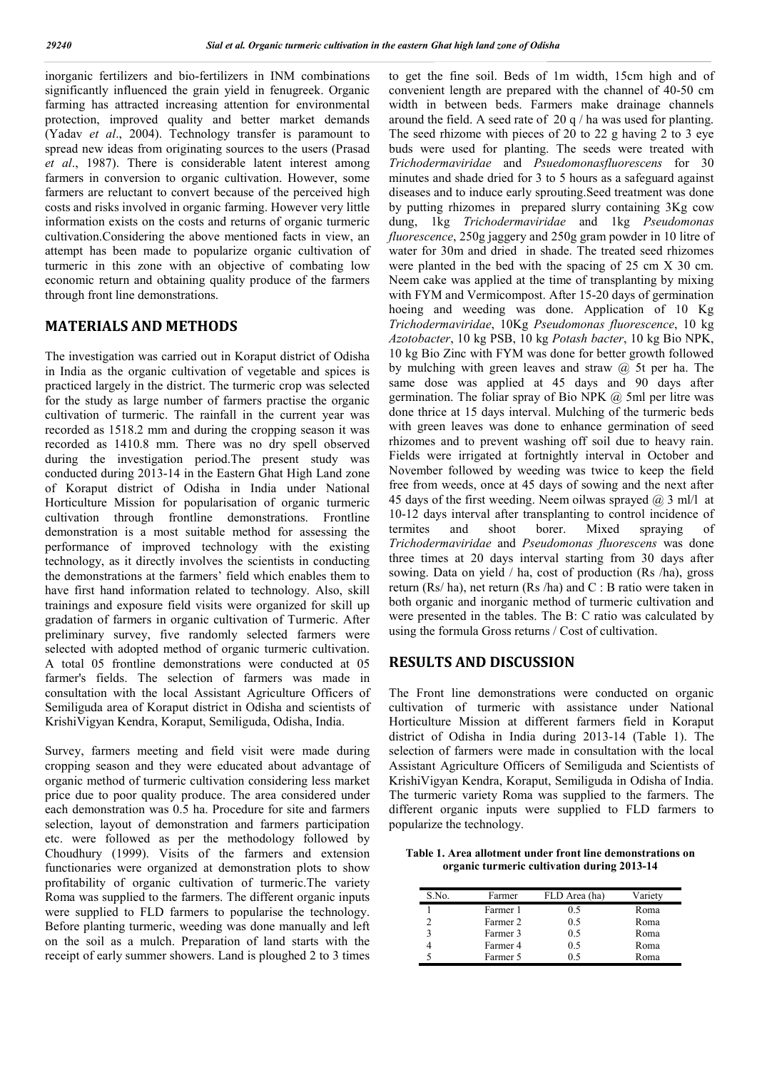inorganic fertilizers and bio-fertilizers in INM combinations significantly influenced the grain yield in fenugreek. Organic farming has attracted increasing attention for environmental protection, improved quality and better market demands (Yadav *et al*., 2004). Technology transfer is paramount to spread new ideas from originating sources to the users (Prasad *et al*., 1987). There is considerable latent interest among farmers in conversion to organic cultivation. However, some farmers are reluctant to convert because of the perceived high costs and risks involved in organic farming. However very little information exists on the costs and returns of organic turmeric cultivation.Considering the above mentioned facts in view, an attempt has been made to popularize organic cultivation of turmeric in this zone with an objective of combating low economic return and obtaining quality produce of the farmers through front line demonstrations.

## **MATERIALS AND METHODS**

The investigation was carried out in Koraput district of Odisha in India as the organic cultivation of vegetable and spices is practiced largely in the district. The turmeric crop was selected for the study as large number of farmers practise the organic cultivation of turmeric. The rainfall in the current year was recorded as 1518.2 mm and during the cropping season it was recorded as 1410.8 mm. There was no dry spell observed during the investigation period.The present study was conducted during 2013-14 in the Eastern Ghat High Land zone of Koraput district of Odisha in India under National Horticulture Mission for popularisation of organic turmeric cultivation through frontline demonstrations. Frontline demonstration is a most suitable method for assessing the performance of improved technology with the existing technology, as it directly involves the scientists in conducting the demonstrations at the farmers' field which enables them to have first hand information related to technology. Also, skill trainings and exposure field visits were organized for skill up gradation of farmers in organic cultivation of Turmeric. After preliminary survey, five randomly selected farmers were selected with adopted method of organic turmeric cultivation. A total 05 frontline demonstrations were conducted at 05 farmer's fields. The selection of farmers was made in consultation with the local Assistant Agriculture Officers of Semiliguda area of Koraput district in Odisha and scientists of KrishiVigyan Kendra, Koraput, Semiliguda, Odisha, India.

Survey, farmers meeting and field visit were made during cropping season and they were educated about advantage of organic method of turmeric cultivation considering less market price due to poor quality produce. The area considered under each demonstration was 0.5 ha. Procedure for site and farmers selection, layout of demonstration and farmers participation etc. were followed as per the methodology followed by Choudhury (1999). Visits of the farmers and extension functionaries were organized at demonstration plots to show profitability of organic cultivation of turmeric.The variety Roma was supplied to the farmers. The different organic inputs were supplied to FLD farmers to popularise the technology. Before planting turmeric, weeding was done manually and left on the soil as a mulch. Preparation of land starts with the receipt of early summer showers. Land is ploughed 2 to 3 times

to get the fine soil. Beds of 1m width, 15cm high and of convenient length are prepared with the channel of 40-50 cm width in between beds. Farmers make drainage channels around the field. A seed rate of 20 q / ha was used for planting. The seed rhizome with pieces of 20 to 22 g having 2 to 3 eye buds were used for planting. The seeds were treated with *Trichodermaviridae* and *Psuedomonasfluorescens* for 30 minutes and shade dried for 3 to 5 hours as a safeguard against diseases and to induce early sprouting.Seed treatment was done by putting rhizomes in prepared slurry containing 3Kg cow dung, 1kg *Trichodermaviridae* and 1kg *Pseudomonas fluorescence*, 250g jaggery and 250g gram powder in 10 litre of water for 30m and dried in shade. The treated seed rhizomes were planted in the bed with the spacing of 25 cm X 30 cm. Neem cake was applied at the time of transplanting by mixing with FYM and Vermicompost. After 15-20 days of germination hoeing and weeding was done. Application of 10 Kg *Trichodermaviridae*, 10Kg *Pseudomonas fluorescence*, 10 kg *Azotobacter*, 10 kg PSB, 10 kg *Potash bacter*, 10 kg Bio NPK, 10 kg Bio Zinc with FYM was done for better growth followed by mulching with green leaves and straw @ 5t per ha. The same dose was applied at 45 days and 90 days after germination. The foliar spray of Bio NPK  $(a)$  5ml per litre was done thrice at 15 days interval. Mulching of the turmeric beds with green leaves was done to enhance germination of seed rhizomes and to prevent washing off soil due to heavy rain. Fields were irrigated at fortnightly interval in October and November followed by weeding was twice to keep the field free from weeds, once at 45 days of sowing and the next after 45 days of the first weeding. Neem oilwas sprayed  $(a)$  3 ml/l at 10-12 days interval after transplanting to control incidence of termites and shoot borer. Mixed spraying of *Trichodermaviridae* and *Pseudomonas fluorescens* was done three times at 20 days interval starting from 30 days after sowing. Data on yield / ha, cost of production (Rs /ha), gross return (Rs/ ha), net return (Rs /ha) and C : B ratio were taken in both organic and inorganic method of turmeric cultivation and were presented in the tables. The B: C ratio was calculated by using the formula Gross returns / Cost of cultivation.

## **RESULTS AND DISCUSSION**

The Front line demonstrations were conducted on organic cultivation of turmeric with assistance under National Horticulture Mission at different farmers field in Koraput district of Odisha in India during 2013-14 (Table 1). The selection of farmers were made in consultation with the local Assistant Agriculture Officers of Semiliguda and Scientists of KrishiVigyan Kendra, Koraput, Semiliguda in Odisha of India. The turmeric variety Roma was supplied to the farmers. The different organic inputs were supplied to FLD farmers to popularize the technology.

**Table 1. Area allotment under front line demonstrations on organic turmeric cultivation during 2013-14**

| S.No. | Farmer   | FLD Area (ha) | Variety |
|-------|----------|---------------|---------|
|       | Farmer 1 | 0.5           | Roma    |
|       | Farmer 2 | 0.5           | Roma    |
| 3     | Farmer 3 | 0.5           | Roma    |
|       | Farmer 4 | 0.5           | Roma    |
|       | Farmer 5 |               | Roma    |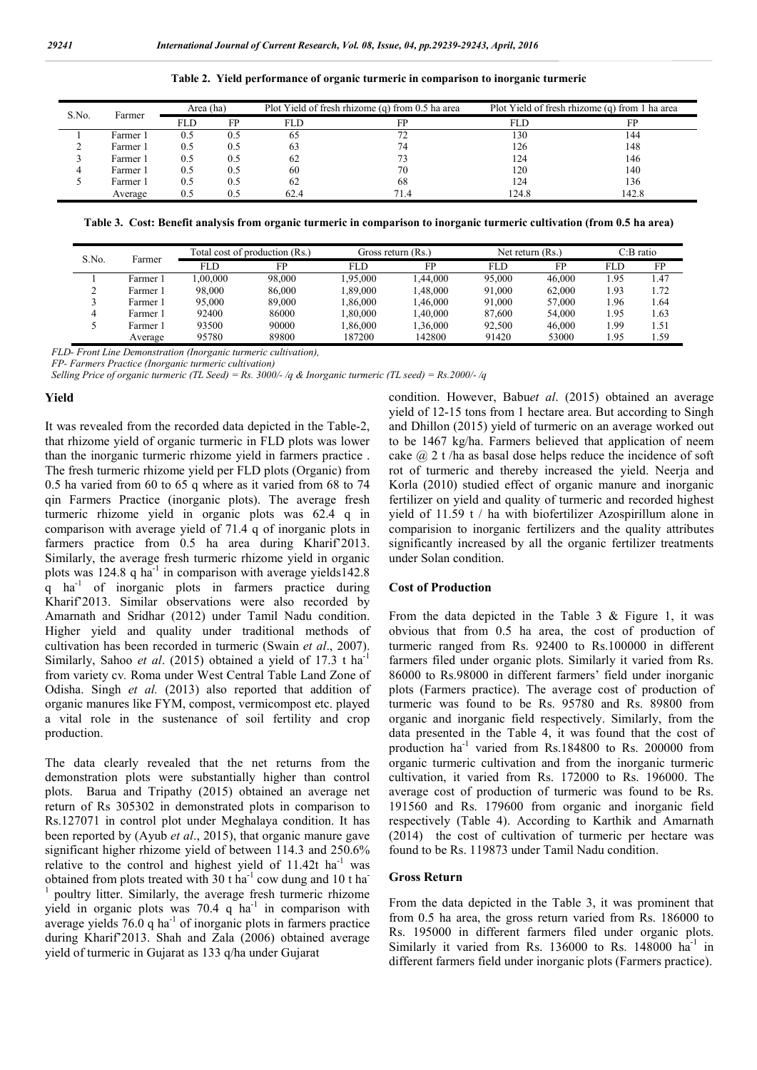| S.No. | Farmer   | Area (ha) |     |      | Plot Yield of fresh rhizome (q) from 0.5 ha area | Plot Yield of fresh rhizome (q) from 1 ha area |      |  |
|-------|----------|-----------|-----|------|--------------------------------------------------|------------------------------------------------|------|--|
|       |          | FLD       | FP  |      | FP                                               | FLD                                            |      |  |
|       | Farmer 1 | 0.5       | 0.5 | 65   | 77                                               | 130                                            | 144  |  |
|       | Farmer 1 | 0.5       | 0.5 | 63   | 74                                               | 126                                            | 148  |  |
|       | Farmer 1 | 0.5       | 0.5 | 62   |                                                  | 124                                            | 146  |  |
|       | Farmer 1 | 0.5       | 0.5 | 60   | 70                                               | 120                                            | 140  |  |
|       | Farmer 1 | 0.5       | 0.5 | 62   | 68                                               | 124                                            | 136  |  |
|       | Average  | 0.5       | 0.5 | 62.4 | 71.4                                             | 124.8                                          | 42.8 |  |

**Table 2. Yield performance of organic turmeric in comparison to inorganic turmeric**

**Table 3. Cost: Benefit analysis from organic turmeric in comparison to inorganic turmeric cultivation (from 0.5 ha area)**

| S.No. | Farmer   | Total cost of production (Rs.) |        | Gross return (Rs.) |          | Net return $(Rs)$ . |        | $C:B$ ratio |      |
|-------|----------|--------------------------------|--------|--------------------|----------|---------------------|--------|-------------|------|
|       |          | FLD                            | FP     | FLD                | FP       | <b>FLD</b>          | FP     | <b>FLD</b>  | FP   |
|       | Farmer 1 | .00.000                        | 98.000 | 1.95.000           | .44.000  | 95,000              | 46,000 | 1.95        | 1.47 |
|       | Farmer 1 | 98,000                         | 86,000 | 1.89.000           | .48.000  | 91,000              | 62,000 | 1.93        | 1.72 |
|       | Farmer 1 | 95,000                         | 89,000 | 1.86.000           | .46.000  | 91,000              | 57,000 | 1.96        | 1.64 |
|       | Farmer 1 | 92400                          | 86000  | 1.80.000           | 0.40,000 | 87,600              | 54,000 | 1.95        | 1.63 |
|       | Farmer 1 | 93500                          | 90000  | 1.86.000           | .36.000  | 92.500              | 46.000 | 1.99        | 1.51 |
|       | Average  | 95780                          | 89800  | 187200             | 142800   | 91420               | 53000  | 1.95        | 1.59 |

*FLD- Front Line Demonstration (Inorganic turmeric cultivation),*

*FP- Farmers Practice (Inorganic turmeric cultivation)*

*Selling Price of organic turmeric (TL Seed) = Rs. 3000/- /q & Inorganic turmeric (TL seed) = Rs.2000/- /q*

#### **Yield**

It was revealed from the recorded data depicted in the Table-2, that rhizome yield of organic turmeric in FLD plots was lower than the inorganic turmeric rhizome yield in farmers practice . The fresh turmeric rhizome yield per FLD plots (Organic) from 0.5 ha varied from 60 to 65 q where as it varied from 68 to 74 qin Farmers Practice (inorganic plots). The average fresh turmeric rhizome yield in organic plots was 62.4 q in comparison with average yield of 71.4 q of inorganic plots in farmers practice from 0.5 ha area during Kharif'2013. Similarly, the average fresh turmeric rhizome yield in organic plots was 124.8 q ha<sup>-1</sup> in comparison with average yields  $142.8$ q ha-1 of inorganic plots in farmers practice during Kharif'2013. Similar observations were also recorded by Amarnath and Sridhar (2012) under Tamil Nadu condition. Higher yield and quality under traditional methods of cultivation has been recorded in turmeric (Swain *et al*., 2007). Similarly, Sahoo *et al.* (2015) obtained a yield of 17.3 t ha<sup>-1</sup> from variety cv*.* Roma under West Central Table Land Zone of Odisha. Singh *et al.* (2013) also reported that addition of organic manures like FYM, compost, vermicompost etc. played a vital role in the sustenance of soil fertility and crop production.

The data clearly revealed that the net returns from the demonstration plots were substantially higher than control plots. Barua and Tripathy (2015) obtained an average net return of Rs 305302 in demonstrated plots in comparison to Rs.127071 in control plot under Meghalaya condition. It has been reported by (Ayub *et al*., 2015), that organic manure gave significant higher rhizome yield of between 114.3 and 250.6% relative to the control and highest yield of  $11.42t$  ha<sup>-1</sup> was obtained from plots treated with 30 t ha<sup>-1</sup> cow dung and 10 t ha<sup>-1</sup> <sup>1</sup> poultry litter. Similarly, the average fresh turmeric rhizome yield in organic plots was  $70.4$  q  $ha^{-1}$  in comparison with average yields  $76.0$  q ha<sup>-1</sup> of inorganic plots in farmers practice during Kharif'2013. Shah and Zala (2006) obtained average yield of turmeric in Gujarat as 133 q/ha under Gujarat

condition. However, Babu*et al*. (2015) obtained an average yield of 12-15 tons from 1 hectare area. But according to Singh and Dhillon (2015) yield of turmeric on an average worked out to be 1467 kg/ha. Farmers believed that application of neem cake  $\omega$  2 t /ha as basal dose helps reduce the incidence of soft rot of turmeric and thereby increased the yield. Neerja and Korla (2010) studied effect of organic manure and inorganic fertilizer on yield and quality of turmeric and recorded highest yield of 11.59 t / ha with biofertilizer Azospirillum alone in comparision to inorganic fertilizers and the quality attributes significantly increased by all the organic fertilizer treatments under Solan condition.

#### **Cost of Production**

From the data depicted in the Table 3 & Figure 1, it was obvious that from 0.5 ha area, the cost of production of turmeric ranged from Rs. 92400 to Rs.100000 in different farmers filed under organic plots. Similarly it varied from Rs. 86000 to Rs.98000 in different farmers' field under inorganic plots (Farmers practice). The average cost of production of turmeric was found to be Rs. 95780 and Rs. 89800 from organic and inorganic field respectively. Similarly, from the data presented in the Table 4, it was found that the cost of production ha-1 varied from Rs.184800 to Rs. 200000 from organic turmeric cultivation and from the inorganic turmeric cultivation, it varied from Rs. 172000 to Rs. 196000. The average cost of production of turmeric was found to be Rs. 191560 and Rs. 179600 from organic and inorganic field respectively (Table 4). According to Karthik and Amarnath (2014) the cost of cultivation of turmeric per hectare was found to be Rs. 119873 under Tamil Nadu condition.

#### **Gross Return**

From the data depicted in the Table 3, it was prominent that from 0.5 ha area, the gross return varied from Rs. 186000 to Rs. 195000 in different farmers filed under organic plots. Similarly it varied from Rs. 136000 to Rs. 148000  $ha^{-1}$  in different farmers field under inorganic plots (Farmers practice).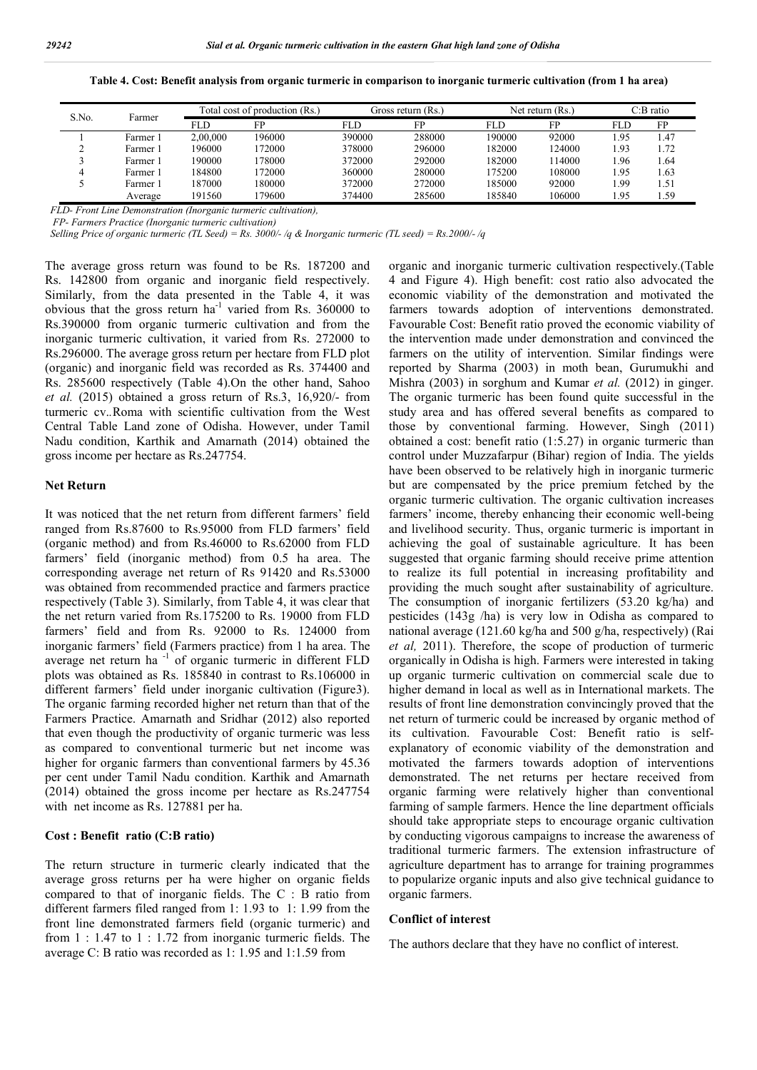| S.No. |          |          | Total cost of production (Rs.) |        | Gross return (Rs.) |        | Net return $(Rs)$ . |      | $C:B$ ratio |  |
|-------|----------|----------|--------------------------------|--------|--------------------|--------|---------------------|------|-------------|--|
|       | Farmer   | FLD      | ЕD                             | FLD    | FP                 | FLD    | FP                  | FLD  | FD          |  |
|       | Farmer 1 | 2.00.000 | 196000                         | 390000 | 288000             | 90000  | 92000               | . 95 | .47         |  |
|       | Farmer 1 | 196000   | 172000                         | 378000 | 296000             | 182000 | 124000              | 1.93 | . 72        |  |
|       | Farmer 1 | 190000   | 178000                         | 372000 | 292000             | 182000 | 14000               | l.96 | .64         |  |
|       | Farmer 1 | 184800   | 172000                         | 360000 | 280000             | 75200  | 108000              | 1.95 | .63         |  |
|       | Farmer 1 | 187000   | 180000                         | 372000 | 272000             | 185000 | 92000               | . 99 | 1.51        |  |
|       | Average  | 191560   | 179600                         | 374400 | 285600             | 185840 | 106000              | 1.95 | . 59        |  |

**Table 4. Cost: Benefit analysis from organic turmeric in comparison to inorganic turmeric cultivation (from 1 ha area)**

*FLD- Front Line Demonstration (Inorganic turmeric cultivation),*

*FP- Farmers Practice (Inorganic turmeric cultivation)*

*Selling Price of organic turmeric (TL Seed) = Rs. 3000/- /q & Inorganic turmeric (TL seed) = Rs.2000/- /q*

The average gross return was found to be Rs. 187200 and Rs. 142800 from organic and inorganic field respectively. Similarly, from the data presented in the Table 4, it was obvious that the gross return  $ha^{-1}$  varied from Rs. 360000 to Rs.390000 from organic turmeric cultivation and from the inorganic turmeric cultivation, it varied from Rs. 272000 to Rs.296000. The average gross return per hectare from FLD plot (organic) and inorganic field was recorded as Rs. 374400 and Rs. 285600 respectively (Table 4).On the other hand, Sahoo *et al.* (2015) obtained a gross return of Rs.3, 16,920/- from turmeric cv.*.*Roma with scientific cultivation from the West Central Table Land zone of Odisha. However, under Tamil Nadu condition, Karthik and Amarnath (2014) obtained the gross income per hectare as Rs.247754.

#### **Net Return**

It was noticed that the net return from different farmers' field ranged from Rs.87600 to Rs.95000 from FLD farmers' field (organic method) and from Rs.46000 to Rs.62000 from FLD farmers' field (inorganic method) from 0.5 ha area. The corresponding average net return of Rs 91420 and Rs.53000 was obtained from recommended practice and farmers practice respectively (Table 3). Similarly, from Table 4, it was clear that the net return varied from Rs.175200 to Rs. 19000 from FLD farmers' field and from Rs. 92000 to Rs. 124000 from inorganic farmers' field (Farmers practice) from 1 ha area. The average net return ha -1 of organic turmeric in different FLD plots was obtained as Rs. 185840 in contrast to Rs.106000 in different farmers' field under inorganic cultivation (Figure3). The organic farming recorded higher net return than that of the Farmers Practice. Amarnath and Sridhar (2012) also reported that even though the productivity of organic turmeric was less as compared to conventional turmeric but net income was higher for organic farmers than conventional farmers by 45.36 per cent under Tamil Nadu condition. Karthik and Amarnath (2014) obtained the gross income per hectare as Rs.247754 with net income as Rs. 127881 per ha.

#### **Cost : Benefit ratio (C:B ratio)**

The return structure in turmeric clearly indicated that the average gross returns per ha were higher on organic fields compared to that of inorganic fields. The C : B ratio from different farmers filed ranged from 1: 1.93 to 1: 1.99 from the front line demonstrated farmers field (organic turmeric) and from 1 : 1.47 to 1 : 1.72 from inorganic turmeric fields. The average C: B ratio was recorded as 1: 1.95 and 1:1.59 from

organic and inorganic turmeric cultivation respectively.(Table 4 and Figure 4). High benefit: cost ratio also advocated the economic viability of the demonstration and motivated the farmers towards adoption of interventions demonstrated. Favourable Cost: Benefit ratio proved the economic viability of the intervention made under demonstration and convinced the farmers on the utility of intervention. Similar findings were reported by Sharma (2003) in moth bean, Gurumukhi and Mishra (2003) in sorghum and Kumar *et al.* (2012) in ginger. The organic turmeric has been found quite successful in the study area and has offered several benefits as compared to those by conventional farming. However, Singh (2011) obtained a cost: benefit ratio (1:5.27) in organic turmeric than control under Muzzafarpur (Bihar) region of India. The yields have been observed to be relatively high in inorganic turmeric but are compensated by the price premium fetched by the organic turmeric cultivation. The organic cultivation increases farmers' income, thereby enhancing their economic well-being and livelihood security. Thus, organic turmeric is important in achieving the goal of sustainable agriculture. It has been suggested that organic farming should receive prime attention to realize its full potential in increasing profitability and providing the much sought after sustainability of agriculture. The consumption of inorganic fertilizers (53.20 kg/ha) and pesticides (143g /ha) is very low in Odisha as compared to national average (121.60 kg/ha and 500 g/ha, respectively) (Rai *et al,* 2011). Therefore, the scope of production of turmeric organically in Odisha is high. Farmers were interested in taking up organic turmeric cultivation on commercial scale due to higher demand in local as well as in International markets. The results of front line demonstration convincingly proved that the net return of turmeric could be increased by organic method of its cultivation. Favourable Cost: Benefit ratio is selfexplanatory of economic viability of the demonstration and motivated the farmers towards adoption of interventions demonstrated. The net returns per hectare received from organic farming were relatively higher than conventional farming of sample farmers. Hence the line department officials should take appropriate steps to encourage organic cultivation by conducting vigorous campaigns to increase the awareness of traditional turmeric farmers. The extension infrastructure of agriculture department has to arrange for training programmes to popularize organic inputs and also give technical guidance to organic farmers.

#### **Conflict of interest**

The authors declare that they have no conflict of interest.